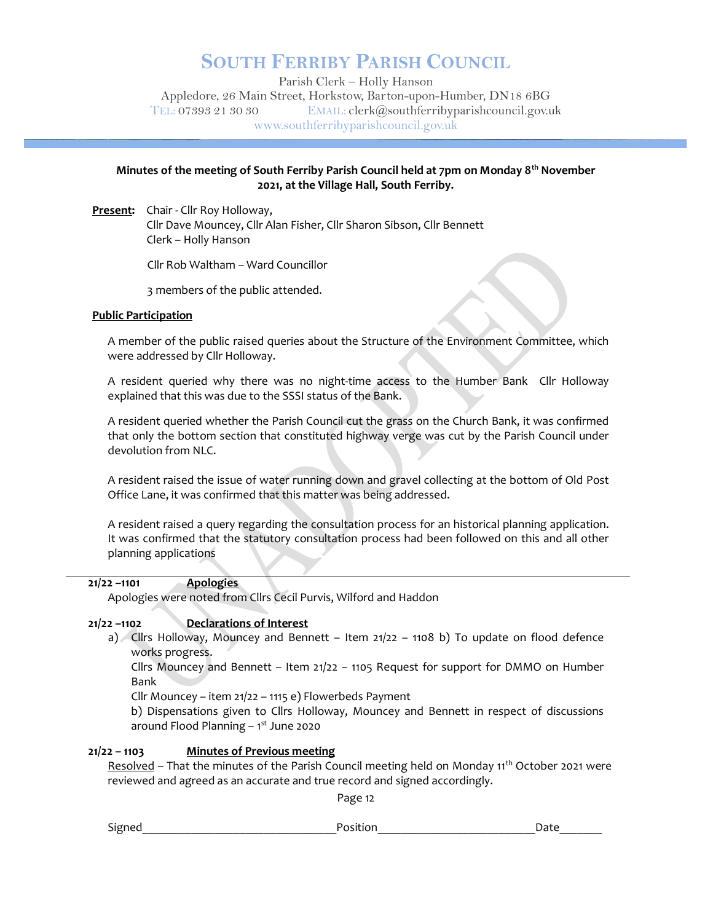## SOUTH FERRIBY PARISH COUNCIL

Parish Clerk – Holly Hanson Appledore, 26 Main Street, Horkstow, Barton-upon-Humber, DN18 6BG TEL: 07393 21 30 30 EMAIL: clerk@southferribyparishcouncil.gov.uk www.southferribyparishcouncil.gov.uk

## Minutes of the meeting of South Ferriby Parish Council held at 7pm on Monday  $8<sup>th</sup>$  November 2021, at the Village Hall, South Ferriby.

Present: Chair - Cllr Roy Holloway, Cllr Dave Mouncey, Cllr Alan Fisher, Cllr Sharon Sibson, Cllr Bennett Clerk – Holly Hanson

Cllr Rob Waltham – Ward Councillor

3 members of the public attended.

#### Public Participation

A member of the public raised queries about the Structure of the Environment Committee, which were addressed by Cllr Holloway.

A resident queried why there was no night-time access to the Humber Bank Cllr Holloway explained that this was due to the SSSI status of the Bank.

A resident queried whether the Parish Council cut the grass on the Church Bank, it was confirmed that only the bottom section that constituted highway verge was cut by the Parish Council under devolution from NLC.

A resident raised the issue of water running down and gravel collecting at the bottom of Old Post Office Lane, it was confirmed that this matter was being addressed.

A resident raised a query regarding the consultation process for an historical planning application. It was confirmed that the statutory consultation process had been followed on this and all other planning applications

## 21/22 –1101 **Apologies**

Apologies were noted from Cllrs Cecil Purvis, Wilford and Haddon

## 21/22 –1102 Declarations of Interest

a) Cllrs Holloway, Mouncey and Bennett – Item 21/22 – 1108 b) To update on flood defence works progress.

Cllrs Mouncey and Bennett – Item 21/22 – 1105 Request for support for DMMO on Humber Bank

Cllr Mouncey – item 21/22 – 1115 e) Flowerbeds Payment

b) Dispensations given to Cllrs Holloway, Mouncey and Bennett in respect of discussions around Flood Planning  $-1<sup>st</sup>$  June 2020

## 21/22 – 1103 Minutes of Previous meeting

Resolved - That the minutes of the Parish Council meeting held on Monday 11<sup>th</sup> October 2021 were reviewed and agreed as an accurate and true record and signed accordingly.

Page 12

Signed **Example 2** and the set of position **and the set of the set of the set of the set of the set of the set o**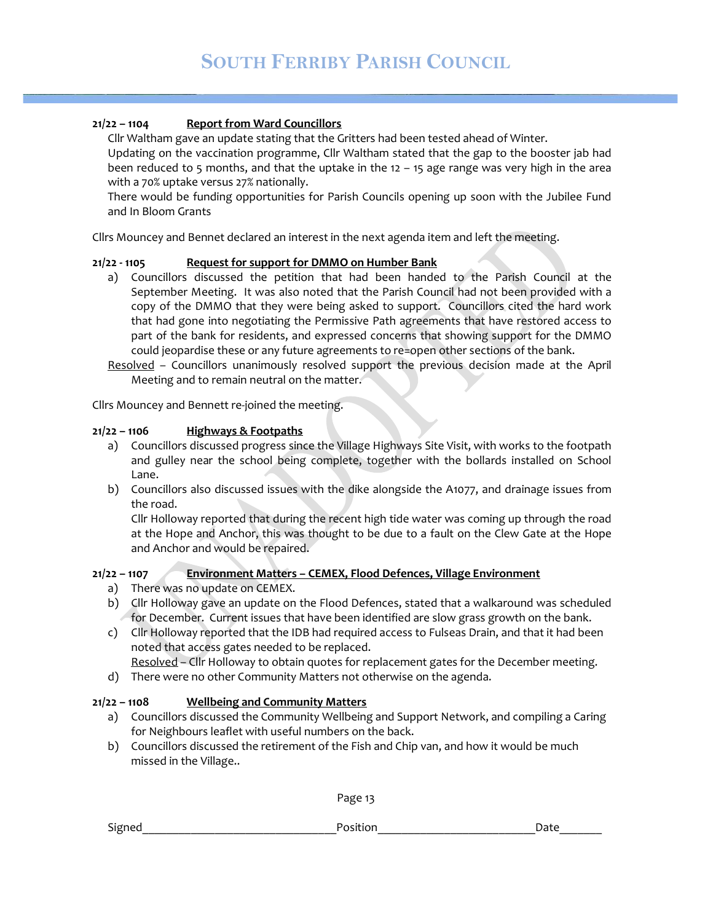#### 21/22 – 1104 Report from Ward Councillors

Cllr Waltham gave an update stating that the Gritters had been tested ahead of Winter.

Updating on the vaccination programme, Cllr Waltham stated that the gap to the booster jab had been reduced to 5 months, and that the uptake in the 12 – 15 age range was very high in the area with a 70% uptake versus 27% nationally.

There would be funding opportunities for Parish Councils opening up soon with the Jubilee Fund and In Bloom Grants

Cllrs Mouncey and Bennet declared an interest in the next agenda item and left the meeting.

#### 21/22 - 1105 Request for support for DMMO on Humber Bank

a) Councillors discussed the petition that had been handed to the Parish Council at the September Meeting. It was also noted that the Parish Council had not been provided with a copy of the DMMO that they were being asked to support. Councillors cited the hard work that had gone into negotiating the Permissive Path agreements that have restored access to part of the bank for residents, and expressed concerns that showing support for the DMMO could jeopardise these or any future agreements to re=open other sections of the bank.

Resolved – Councillors unanimously resolved support the previous decision made at the April Meeting and to remain neutral on the matter.

Cllrs Mouncey and Bennett re-joined the meeting.

#### $21/22 - 1106$  Highways & Footpaths

- a) Councillors discussed progress since the Village Highways Site Visit, with works to the footpath and gulley near the school being complete, together with the bollards installed on School Lane.
- b) Councillors also discussed issues with the dike alongside the A1077, and drainage issues from the road.

 Cllr Holloway reported that during the recent high tide water was coming up through the road at the Hope and Anchor, this was thought to be due to a fault on the Clew Gate at the Hope and Anchor and would be repaired.

## 21/22 – 1107 Environment Matters – CEMEX, Flood Defences, Village Environment

- a) There was no update on CEMEX.
- b) Cllr Holloway gave an update on the Flood Defences, stated that a walkaround was scheduled for December. Current issues that have been identified are slow grass growth on the bank.
- c) Cllr Holloway reported that the IDB had required access to Fulseas Drain, and that it had been noted that access gates needed to be replaced.

Resolved – Cllr Holloway to obtain quotes for replacement gates for the December meeting.

d) There were no other Community Matters not otherwise on the agenda.

#### 21/22 - 1108 Wellbeing and Community Matters

- a) Councillors discussed the Community Wellbeing and Support Network, and compiling a Caring for Neighbours leaflet with useful numbers on the back.
- b) Councillors discussed the retirement of the Fish and Chip van, and how it would be much missed in the Village..

Page 13

Signed **Example 2** and the set of position **and the set of the set of the set of the set of the set of the set o**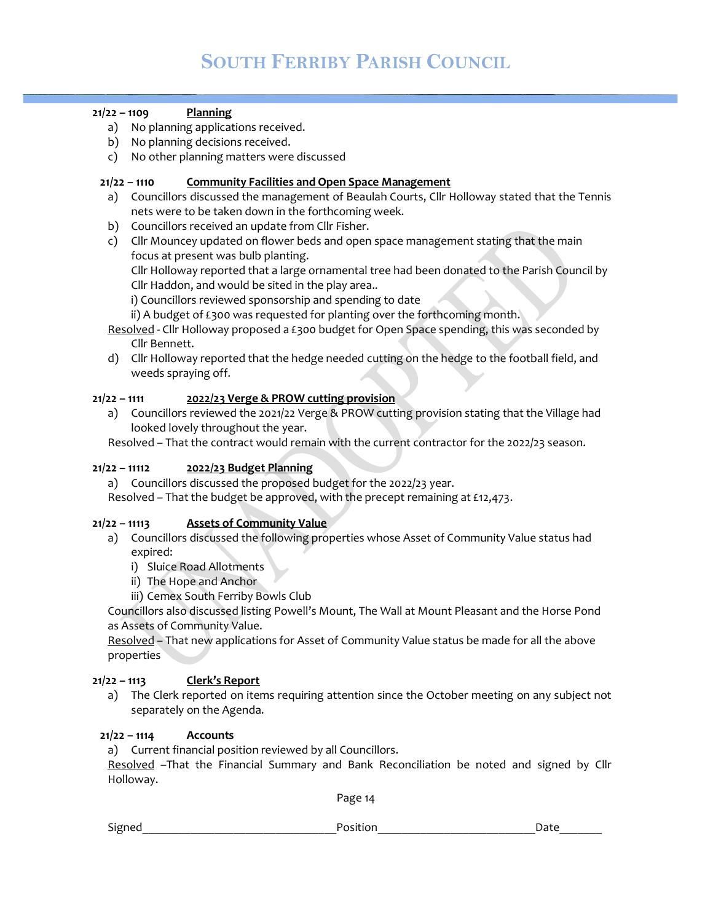## $21/22 - 1109$  Planning

- a) No planning applications received.
- b) No planning decisions received.
- c) No other planning matters were discussed

## 21/22 – 1110 Community Facilities and Open Space Management

- a) Councillors discussed the management of Beaulah Courts, Cllr Holloway stated that the Tennis nets were to be taken down in the forthcoming week.
- b) Councillors received an update from Cllr Fisher.
- c) Cllr Mouncey updated on flower beds and open space management stating that the main focus at present was bulb planting.

 Cllr Holloway reported that a large ornamental tree had been donated to the Parish Council by Cllr Haddon, and would be sited in the play area..

i) Councillors reviewed sponsorship and spending to date

ii) A budget of £300 was requested for planting over the forthcoming month.

Resolved - Cllr Holloway proposed a £300 budget for Open Space spending, this was seconded by Cllr Bennett.

d) Cllr Holloway reported that the hedge needed cutting on the hedge to the football field, and weeds spraying off.

## 21/22 – 1111 2022/23 Verge & PROW cutting provision

a) Councillors reviewed the 2021/22 Verge & PROW cutting provision stating that the Village had looked lovely throughout the year.

Resolved – That the contract would remain with the current contractor for the 2022/23 season.

## 21/22 - 11112 2022/23 Budget Planning

a) Councillors discussed the proposed budget for the 2022/23 year.

Resolved – That the budget be approved, with the precept remaining at £12,473.

## 21/22 – 11113 Assets of Community Value

- a) Councillors discussed the following properties whose Asset of Community Value status had expired:
	- i) Sluice Road Allotments
	- ii) The Hope and Anchor
	- iii) Cemex South Ferriby Bowls Club

Councillors also discussed listing Powell's Mount, The Wall at Mount Pleasant and the Horse Pond as Assets of Community Value.

Resolved – That new applications for Asset of Community Value status be made for all the above properties

## 21/22 – 1113 Clerk's Report

a) The Clerk reported on items requiring attention since the October meeting on any subject not separately on the Agenda.

## $21/22 - 1114$  Accounts

a) Current financial position reviewed by all Councillors.

Resolved –That the Financial Summary and Bank Reconciliation be noted and signed by Cllr Holloway.

Page 14

Signed examples a set of the set of the Position of the Signed Date